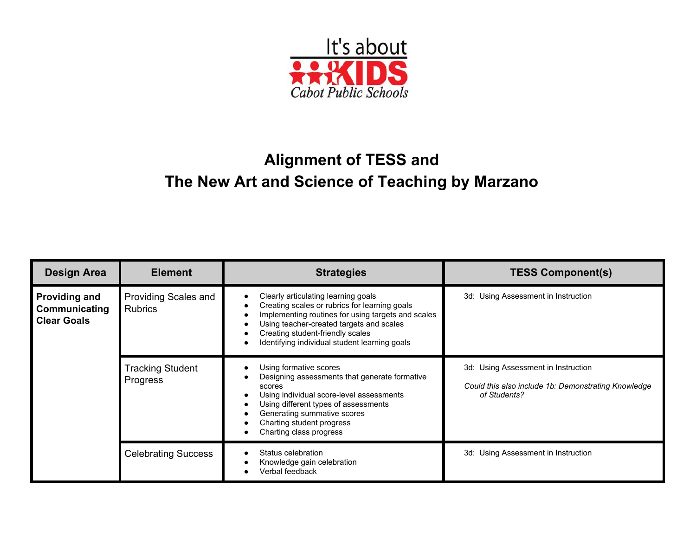

## **Alignment of TESS and The New Art and Science of Teaching by Marzano**

| <b>Design Area</b>                                          | <b>Element</b>                         | <b>Strategies</b>                                                                                                                                                                                                                                                           | <b>TESS Component(s)</b>                                                                                   |
|-------------------------------------------------------------|----------------------------------------|-----------------------------------------------------------------------------------------------------------------------------------------------------------------------------------------------------------------------------------------------------------------------------|------------------------------------------------------------------------------------------------------------|
| <b>Providing and</b><br>Communicating<br><b>Clear Goals</b> | Providing Scales and<br><b>Rubrics</b> | Clearly articulating learning goals<br>Creating scales or rubrics for learning goals<br>Implementing routines for using targets and scales<br>Using teacher-created targets and scales<br>Creating student-friendly scales<br>Identifying individual student learning goals | 3d: Using Assessment in Instruction                                                                        |
|                                                             | <b>Tracking Student</b><br>Progress    | Using formative scores<br>Designing assessments that generate formative<br>scores<br>Using individual score-level assessments<br>Using different types of assessments<br>Generating summative scores<br>Charting student progress<br>Charting class progress                | 3d: Using Assessment in Instruction<br>Could this also include 1b: Demonstrating Knowledge<br>of Students? |
|                                                             | <b>Celebrating Success</b>             | Status celebration<br>Knowledge gain celebration<br>Verbal feedback                                                                                                                                                                                                         | 3d: Using Assessment in Instruction                                                                        |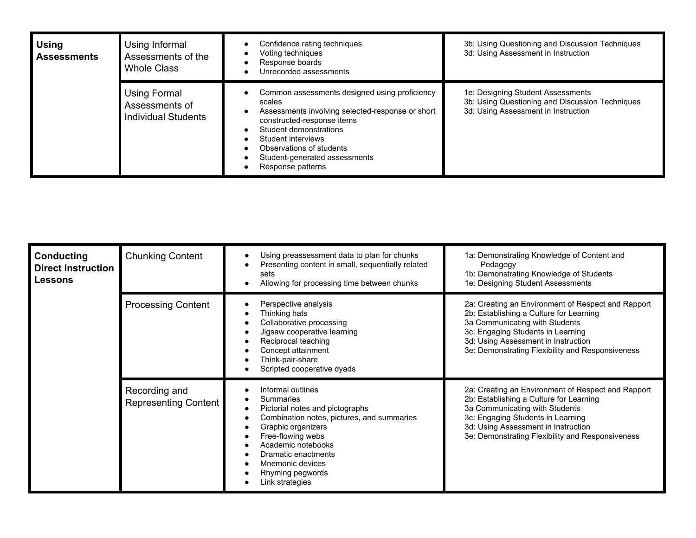| <b>Using</b><br><b>Assessments</b> | Using Informal<br>Assessments of the<br><b>Whole Class</b>   | Confidence rating techniques<br>Voting techniques<br>Response boards<br>Unrecorded assessments                                                                                                                                                                              | 3b: Using Questioning and Discussion Techniques<br>3d: Using Assessment in Instruction                                      |
|------------------------------------|--------------------------------------------------------------|-----------------------------------------------------------------------------------------------------------------------------------------------------------------------------------------------------------------------------------------------------------------------------|-----------------------------------------------------------------------------------------------------------------------------|
|                                    | Using Formal<br>Assessments of<br><b>Individual Students</b> | Common assessments designed using proficiency<br>scales<br>Assessments involving selected-response or short<br>constructed-response items<br>Student demonstrations<br>Student interviews<br>Observations of students<br>Student-generated assessments<br>Response patterns | 1e: Designing Student Assessments<br>3b: Using Questioning and Discussion Techniques<br>3d: Using Assessment in Instruction |

| <b>Conducting</b><br><b>Direct Instruction</b><br><b>Lessons</b> | <b>Chunking Content</b>                      | Using preassessment data to plan for chunks<br>Presenting content in small, sequentially related<br>sets<br>Allowing for processing time between chunks                                                                                                                   | 1a: Demonstrating Knowledge of Content and<br>Pedagogy<br>1b: Demonstrating Knowledge of Students<br>1e: Designing Student Assessments                                                                                                                          |
|------------------------------------------------------------------|----------------------------------------------|---------------------------------------------------------------------------------------------------------------------------------------------------------------------------------------------------------------------------------------------------------------------------|-----------------------------------------------------------------------------------------------------------------------------------------------------------------------------------------------------------------------------------------------------------------|
|                                                                  | <b>Processing Content</b>                    | Perspective analysis<br>Thinking hats<br>Collaborative processing<br>Jigsaw cooperative learning<br>Reciprocal teaching<br>Concept attainment<br>Think-pair-share<br>Scripted cooperative dyads                                                                           | 2a: Creating an Environment of Respect and Rapport<br>2b: Establishing a Culture for Learning<br>3a Communicating with Students<br>3c: Engaging Students in Learning<br>3d: Using Assessment in Instruction<br>3e: Demonstrating Flexibility and Responsiveness |
|                                                                  | Recording and<br><b>Representing Content</b> | Informal outlines<br><b>Summaries</b><br>Pictorial notes and pictographs<br>Combination notes, pictures, and summaries<br>Graphic organizers<br>Free-flowing webs<br>Academic notebooks<br>Dramatic enactments<br>Mnemonic devices<br>Rhyming pegwords<br>Link strategies | 2a: Creating an Environment of Respect and Rapport<br>2b: Establishing a Culture for Learning<br>3a Communicating with Students<br>3c: Engaging Students in Learning<br>3d: Using Assessment in Instruction<br>3e: Demonstrating Flexibility and Responsiveness |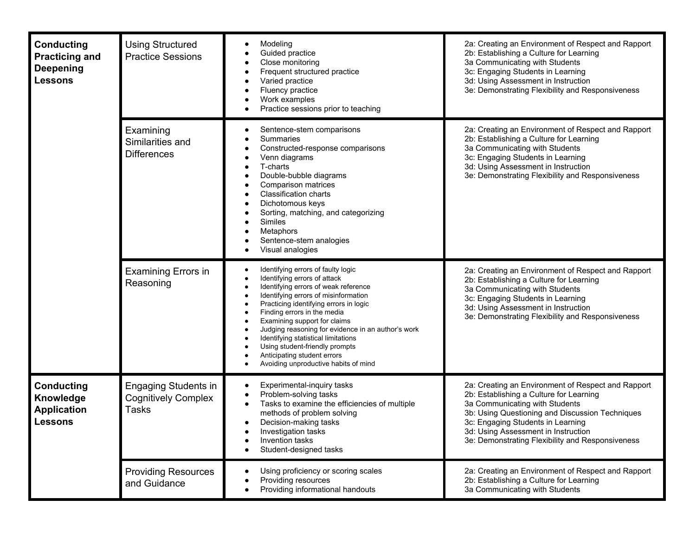| <b>Conducting</b><br><b>Practicing and</b><br><b>Deepening</b><br><b>Lessons</b> | <b>Using Structured</b><br><b>Practice Sessions</b>                       | Modeling<br>Guided practice<br>Close monitoring<br>Frequent structured practice<br>Varied practice<br>Fluency practice<br>Work examples<br>Practice sessions prior to teaching                                                                                                                                                                                                                                                                                    | 2a: Creating an Environment of Respect and Rapport<br>2b: Establishing a Culture for Learning<br>3a Communicating with Students<br>3c: Engaging Students in Learning<br>3d: Using Assessment in Instruction<br>3e: Demonstrating Flexibility and Responsiveness                                                    |
|----------------------------------------------------------------------------------|---------------------------------------------------------------------------|-------------------------------------------------------------------------------------------------------------------------------------------------------------------------------------------------------------------------------------------------------------------------------------------------------------------------------------------------------------------------------------------------------------------------------------------------------------------|--------------------------------------------------------------------------------------------------------------------------------------------------------------------------------------------------------------------------------------------------------------------------------------------------------------------|
|                                                                                  | Examining<br>Similarities and<br><b>Differences</b>                       | Sentence-stem comparisons<br>Summaries<br>Constructed-response comparisons<br>Venn diagrams<br>T-charts<br>Double-bubble diagrams<br>Comparison matrices<br><b>Classification charts</b><br>Dichotomous keys<br>Sorting, matching, and categorizing<br>Similes<br>Metaphors<br>Sentence-stem analogies<br>Visual analogies                                                                                                                                        | 2a: Creating an Environment of Respect and Rapport<br>2b: Establishing a Culture for Learning<br>3a Communicating with Students<br>3c: Engaging Students in Learning<br>3d: Using Assessment in Instruction<br>3e: Demonstrating Flexibility and Responsiveness                                                    |
|                                                                                  | <b>Examining Errors in</b><br>Reasoning                                   | Identifying errors of faulty logic<br>Identifying errors of attack<br>Identifying errors of weak reference<br>Identifying errors of misinformation<br>Practicing identifying errors in logic<br>Finding errors in the media<br>Examining support for claims<br>Judging reasoning for evidence in an author's work<br>Identifying statistical limitations<br>Using student-friendly prompts<br>Anticipating student errors<br>Avoiding unproductive habits of mind | 2a: Creating an Environment of Respect and Rapport<br>2b: Establishing a Culture for Learning<br>3a Communicating with Students<br>3c: Engaging Students in Learning<br>3d: Using Assessment in Instruction<br>3e: Demonstrating Flexibility and Responsiveness                                                    |
| <b>Conducting</b><br>Knowledge<br><b>Application</b><br><b>Lessons</b>           | <b>Engaging Students in</b><br><b>Cognitively Complex</b><br><b>Tasks</b> | Experimental-inquiry tasks<br>Problem-solving tasks<br>Tasks to examine the efficiencies of multiple<br>methods of problem solving<br>Decision-making tasks<br>Investigation tasks<br>Invention tasks<br>Student-designed tasks                                                                                                                                                                                                                                   | 2a: Creating an Environment of Respect and Rapport<br>2b: Establishing a Culture for Learning<br>3a Communicating with Students<br>3b: Using Questioning and Discussion Techniques<br>3c: Engaging Students in Learning<br>3d: Using Assessment in Instruction<br>3e: Demonstrating Flexibility and Responsiveness |
|                                                                                  | <b>Providing Resources</b><br>and Guidance                                | Using proficiency or scoring scales<br>Providing resources<br>Providing informational handouts                                                                                                                                                                                                                                                                                                                                                                    | 2a: Creating an Environment of Respect and Rapport<br>2b: Establishing a Culture for Learning<br>3a Communicating with Students                                                                                                                                                                                    |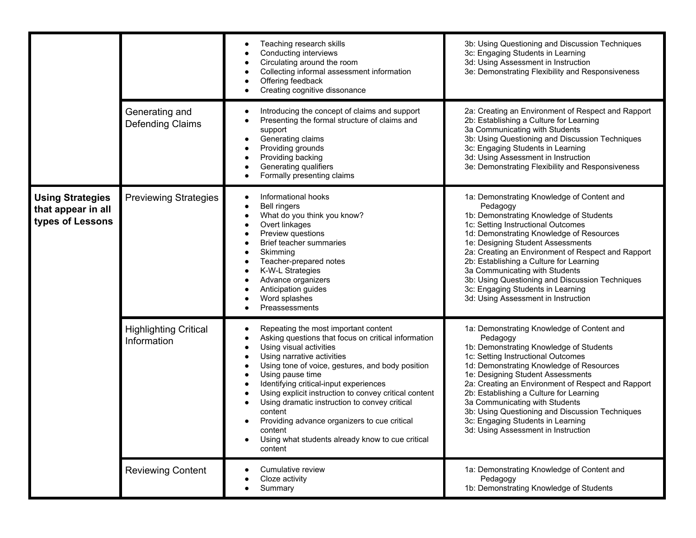|                                                                   |                                             | Teaching research skills<br>Conducting interviews<br>Circulating around the room<br>Collecting informal assessment information<br>Offering feedback<br>$\bullet$<br>Creating cognitive dissonance                                                                                                                                                                                                                                                                                                                                                                                                        | 3b: Using Questioning and Discussion Techniques<br>3c: Engaging Students in Learning<br>3d: Using Assessment in Instruction<br>3e: Demonstrating Flexibility and Responsiveness                                                                                                                                                                                                                                                                                                            |
|-------------------------------------------------------------------|---------------------------------------------|----------------------------------------------------------------------------------------------------------------------------------------------------------------------------------------------------------------------------------------------------------------------------------------------------------------------------------------------------------------------------------------------------------------------------------------------------------------------------------------------------------------------------------------------------------------------------------------------------------|--------------------------------------------------------------------------------------------------------------------------------------------------------------------------------------------------------------------------------------------------------------------------------------------------------------------------------------------------------------------------------------------------------------------------------------------------------------------------------------------|
|                                                                   | Generating and<br>Defending Claims          | Introducing the concept of claims and support<br>Presenting the formal structure of claims and<br>support<br>Generating claims<br>$\bullet$<br>Providing grounds<br>$\bullet$<br>Providing backing<br>Generating qualifiers<br>Formally presenting claims                                                                                                                                                                                                                                                                                                                                                | 2a: Creating an Environment of Respect and Rapport<br>2b: Establishing a Culture for Learning<br>3a Communicating with Students<br>3b: Using Questioning and Discussion Techniques<br>3c: Engaging Students in Learning<br>3d: Using Assessment in Instruction<br>3e: Demonstrating Flexibility and Responsiveness                                                                                                                                                                         |
| <b>Using Strategies</b><br>that appear in all<br>types of Lessons | <b>Previewing Strategies</b>                | Informational hooks<br>$\bullet$<br><b>Bell ringers</b><br>$\bullet$<br>What do you think you know?<br>$\bullet$<br>Overt linkages<br>Preview questions<br>٠<br>Brief teacher summaries<br>٠<br>Skimming<br>Teacher-prepared notes<br>K-W-L Strategies<br>٠<br>Advance organizers<br>٠<br>Anticipation guides<br>Word splashes<br>Preassessments                                                                                                                                                                                                                                                         | 1a: Demonstrating Knowledge of Content and<br>Pedagogy<br>1b: Demonstrating Knowledge of Students<br>1c: Setting Instructional Outcomes<br>1d: Demonstrating Knowledge of Resources<br>1e: Designing Student Assessments<br>2a: Creating an Environment of Respect and Rapport<br>2b: Establishing a Culture for Learning<br>3a Communicating with Students<br>3b: Using Questioning and Discussion Techniques<br>3c: Engaging Students in Learning<br>3d: Using Assessment in Instruction |
|                                                                   | <b>Highlighting Critical</b><br>Information | Repeating the most important content<br>Asking questions that focus on critical information<br>$\bullet$<br>Using visual activities<br>$\bullet$<br>Using narrative activities<br>$\bullet$<br>Using tone of voice, gestures, and body position<br>$\bullet$<br>Using pause time<br>$\bullet$<br>Identifying critical-input experiences<br>٠<br>Using explicit instruction to convey critical content<br>Using dramatic instruction to convey critical<br>$\bullet$<br>content<br>Providing advance organizers to cue critical<br>content<br>Using what students already know to cue critical<br>content | 1a: Demonstrating Knowledge of Content and<br>Pedagogy<br>1b: Demonstrating Knowledge of Students<br>1c: Setting Instructional Outcomes<br>1d: Demonstrating Knowledge of Resources<br>1e: Designing Student Assessments<br>2a: Creating an Environment of Respect and Rapport<br>2b: Establishing a Culture for Learning<br>3a Communicating with Students<br>3b: Using Questioning and Discussion Techniques<br>3c: Engaging Students in Learning<br>3d: Using Assessment in Instruction |
|                                                                   | <b>Reviewing Content</b>                    | Cumulative review<br>Cloze activity<br>Summary                                                                                                                                                                                                                                                                                                                                                                                                                                                                                                                                                           | 1a: Demonstrating Knowledge of Content and<br>Pedagogy<br>1b: Demonstrating Knowledge of Students                                                                                                                                                                                                                                                                                                                                                                                          |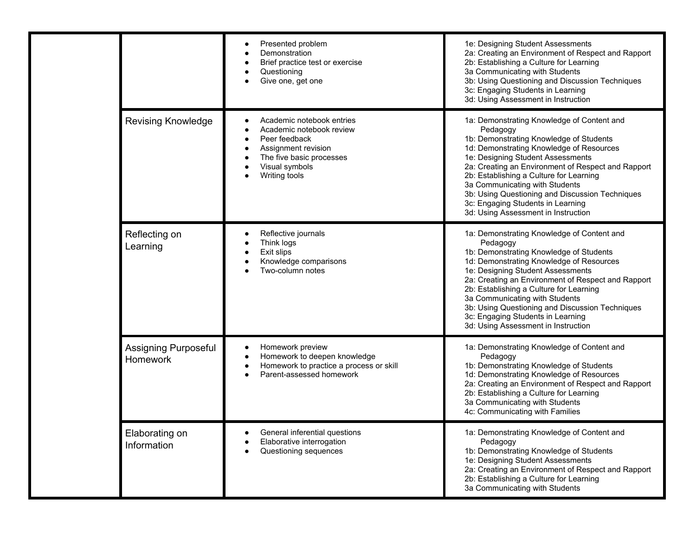|  |                                                | Presented problem<br>Demonstration<br>Brief practice test or exercise<br>Questioning<br>Give one, get one                                                                      | 1e: Designing Student Assessments<br>2a: Creating an Environment of Respect and Rapport<br>2b: Establishing a Culture for Learning<br>3a Communicating with Students<br>3b: Using Questioning and Discussion Techniques<br>3c: Engaging Students in Learning<br>3d: Using Assessment in Instruction                                                                                                                                                  |
|--|------------------------------------------------|--------------------------------------------------------------------------------------------------------------------------------------------------------------------------------|------------------------------------------------------------------------------------------------------------------------------------------------------------------------------------------------------------------------------------------------------------------------------------------------------------------------------------------------------------------------------------------------------------------------------------------------------|
|  | <b>Revising Knowledge</b>                      | Academic notebook entries<br>Academic notebook review<br>Peer feedback<br>$\bullet$<br>Assignment revision<br>٠<br>The five basic processes<br>Visual symbols<br>Writing tools | 1a: Demonstrating Knowledge of Content and<br>Pedagogy<br>1b: Demonstrating Knowledge of Students<br>1d: Demonstrating Knowledge of Resources<br>1e: Designing Student Assessments<br>2a: Creating an Environment of Respect and Rapport<br>2b: Establishing a Culture for Learning<br>3a Communicating with Students<br>3b: Using Questioning and Discussion Techniques<br>3c: Engaging Students in Learning<br>3d: Using Assessment in Instruction |
|  | Reflecting on<br>Learning                      | Reflective journals<br>$\bullet$<br>Think logs<br>Exit slips<br>Knowledge comparisons<br>Two-column notes                                                                      | 1a: Demonstrating Knowledge of Content and<br>Pedagogy<br>1b: Demonstrating Knowledge of Students<br>1d: Demonstrating Knowledge of Resources<br>1e: Designing Student Assessments<br>2a: Creating an Environment of Respect and Rapport<br>2b: Establishing a Culture for Learning<br>3a Communicating with Students<br>3b: Using Questioning and Discussion Techniques<br>3c: Engaging Students in Learning<br>3d: Using Assessment in Instruction |
|  | <b>Assigning Purposeful</b><br><b>Homework</b> | Homework preview<br>Homework to deepen knowledge<br>$\bullet$<br>Homework to practice a process or skill<br>Parent-assessed homework                                           | 1a: Demonstrating Knowledge of Content and<br>Pedagogy<br>1b: Demonstrating Knowledge of Students<br>1d: Demonstrating Knowledge of Resources<br>2a: Creating an Environment of Respect and Rapport<br>2b: Establishing a Culture for Learning<br>3a Communicating with Students<br>4c: Communicating with Families                                                                                                                                  |
|  | Elaborating on<br>Information                  | General inferential questions<br>Elaborative interrogation<br>Questioning sequences                                                                                            | 1a: Demonstrating Knowledge of Content and<br>Pedagogy<br>1b: Demonstrating Knowledge of Students<br>1e: Designing Student Assessments<br>2a: Creating an Environment of Respect and Rapport<br>2b: Establishing a Culture for Learning<br>3a Communicating with Students                                                                                                                                                                            |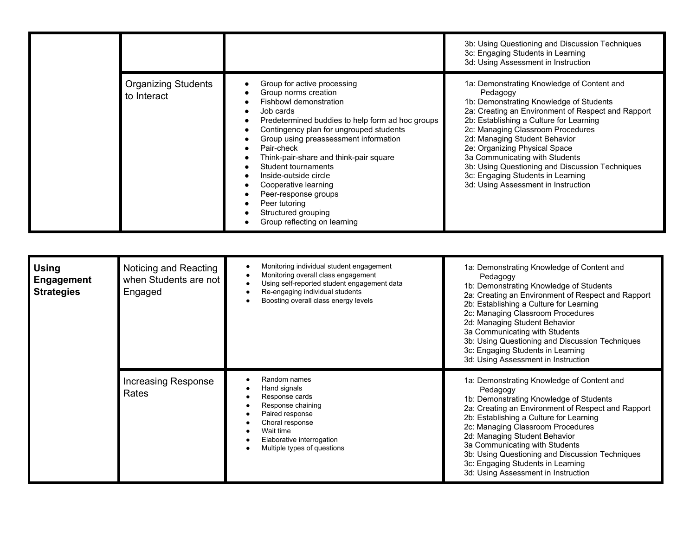|                                           |                                                                                                                                                                                                                                                                                                                                                                                                                                                                    | 3b: Using Questioning and Discussion Techniques<br>3c: Engaging Students in Learning<br>3d: Using Assessment in Instruction                                                                                                                                                                                                                                                                                                                                                |
|-------------------------------------------|--------------------------------------------------------------------------------------------------------------------------------------------------------------------------------------------------------------------------------------------------------------------------------------------------------------------------------------------------------------------------------------------------------------------------------------------------------------------|----------------------------------------------------------------------------------------------------------------------------------------------------------------------------------------------------------------------------------------------------------------------------------------------------------------------------------------------------------------------------------------------------------------------------------------------------------------------------|
| <b>Organizing Students</b><br>to Interact | Group for active processing<br>Group norms creation<br>Fishbowl demonstration<br>Job cards<br>Predetermined buddies to help form ad hoc groups<br>Contingency plan for ungrouped students<br>Group using preassessment information<br>Pair-check<br>Think-pair-share and think-pair square<br>Student tournaments<br>Inside-outside circle<br>Cooperative learning<br>Peer-response groups<br>Peer tutoring<br>Structured grouping<br>Group reflecting on learning | 1a: Demonstrating Knowledge of Content and<br>Pedagogy<br>1b: Demonstrating Knowledge of Students<br>2a: Creating an Environment of Respect and Rapport<br>2b: Establishing a Culture for Learning<br>2c: Managing Classroom Procedures<br>2d: Managing Student Behavior<br>2e: Organizing Physical Space<br>3a Communicating with Students<br>3b: Using Questioning and Discussion Techniques<br>3c: Engaging Students in Learning<br>3d: Using Assessment in Instruction |

| <b>Using</b><br><b>Engagement</b><br><b>Strategies</b> | Noticing and Reacting<br>when Students are not<br>Engaged | Monitoring individual student engagement<br>Monitoring overall class engagement<br>Using self-reported student engagement data<br>Re-engaging individual students<br>Boosting overall class energy levels | 1a: Demonstrating Knowledge of Content and<br>Pedagogy<br>1b: Demonstrating Knowledge of Students<br>2a: Creating an Environment of Respect and Rapport<br>2b: Establishing a Culture for Learning<br>2c: Managing Classroom Procedures<br>2d: Managing Student Behavior<br>3a Communicating with Students<br>3b: Using Questioning and Discussion Techniques<br>3c: Engaging Students in Learning<br>3d: Using Assessment in Instruction |
|--------------------------------------------------------|-----------------------------------------------------------|-----------------------------------------------------------------------------------------------------------------------------------------------------------------------------------------------------------|-------------------------------------------------------------------------------------------------------------------------------------------------------------------------------------------------------------------------------------------------------------------------------------------------------------------------------------------------------------------------------------------------------------------------------------------|
|                                                        | <b>Increasing Response</b><br>Rates                       | Random names<br>Hand signals<br>Response cards<br>Response chaining<br>Paired response<br>Choral response<br>Wait time<br>Elaborative interrogation<br>Multiple types of questions                        | 1a: Demonstrating Knowledge of Content and<br>Pedagogy<br>1b: Demonstrating Knowledge of Students<br>2a: Creating an Environment of Respect and Rapport<br>2b: Establishing a Culture for Learning<br>2c: Managing Classroom Procedures<br>2d: Managing Student Behavior<br>3a Communicating with Students<br>3b: Using Questioning and Discussion Techniques<br>3c: Engaging Students in Learning<br>3d: Using Assessment in Instruction |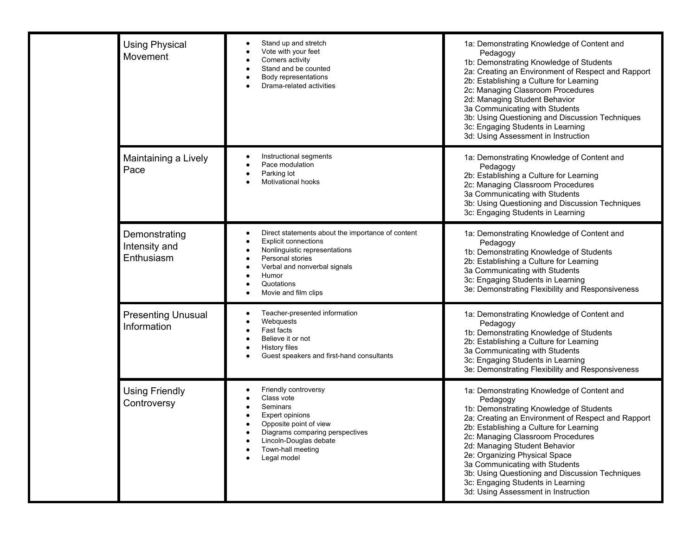|      | <b>Using Physical</b><br>Movement            | Stand up and stretch<br>Vote with your feet<br>Corners activity<br>Stand and be counted<br>Body representations<br>Drama-related activities                                                                                                    | 1a: Demonstrating Knowledge of Content and<br>Pedagogy<br>1b: Demonstrating Knowledge of Students<br>2a: Creating an Environment of Respect and Rapport<br>2b: Establishing a Culture for Learning<br>2c: Managing Classroom Procedures<br>2d: Managing Student Behavior<br>3a Communicating with Students<br>3b: Using Questioning and Discussion Techniques<br>3c: Engaging Students in Learning<br>3d: Using Assessment in Instruction                                  |
|------|----------------------------------------------|------------------------------------------------------------------------------------------------------------------------------------------------------------------------------------------------------------------------------------------------|----------------------------------------------------------------------------------------------------------------------------------------------------------------------------------------------------------------------------------------------------------------------------------------------------------------------------------------------------------------------------------------------------------------------------------------------------------------------------|
| Pace | Maintaining a Lively                         | Instructional segments<br>Pace modulation<br>$\bullet$<br>Parking lot<br>Motivational hooks                                                                                                                                                    | 1a: Demonstrating Knowledge of Content and<br>Pedagogy<br>2b: Establishing a Culture for Learning<br>2c: Managing Classroom Procedures<br>3a Communicating with Students<br>3b: Using Questioning and Discussion Techniques<br>3c: Engaging Students in Learning                                                                                                                                                                                                           |
|      | Demonstrating<br>Intensity and<br>Enthusiasm | Direct statements about the importance of content<br>$\bullet$<br><b>Explicit connections</b><br>$\bullet$<br>Nonlinguistic representations<br>Personal stories<br>Verbal and nonverbal signals<br>Humor<br>Quotations<br>Movie and film clips | 1a: Demonstrating Knowledge of Content and<br>Pedagogy<br>1b: Demonstrating Knowledge of Students<br>2b: Establishing a Culture for Learning<br>3a Communicating with Students<br>3c: Engaging Students in Learning<br>3e: Demonstrating Flexibility and Responsiveness                                                                                                                                                                                                    |
|      | <b>Presenting Unusual</b><br>Information     | Teacher-presented information<br>Webquests<br>Fast facts<br>Believe it or not<br><b>History files</b><br>Guest speakers and first-hand consultants                                                                                             | 1a: Demonstrating Knowledge of Content and<br>Pedagogy<br>1b: Demonstrating Knowledge of Students<br>2b: Establishing a Culture for Learning<br>3a Communicating with Students<br>3c: Engaging Students in Learning<br>3e: Demonstrating Flexibility and Responsiveness                                                                                                                                                                                                    |
|      | <b>Using Friendly</b><br>Controversy         | Friendly controversy<br>Class vote<br>Seminars<br><b>Expert opinions</b><br>Opposite point of view<br>Diagrams comparing perspectives<br>Lincoln-Douglas debate<br>Town-hall meeting<br>Legal model                                            | 1a: Demonstrating Knowledge of Content and<br>Pedagogy<br>1b: Demonstrating Knowledge of Students<br>2a: Creating an Environment of Respect and Rapport<br>2b: Establishing a Culture for Learning<br>2c: Managing Classroom Procedures<br>2d: Managing Student Behavior<br>2e: Organizing Physical Space<br>3a Communicating with Students<br>3b: Using Questioning and Discussion Techniques<br>3c: Engaging Students in Learning<br>3d: Using Assessment in Instruction |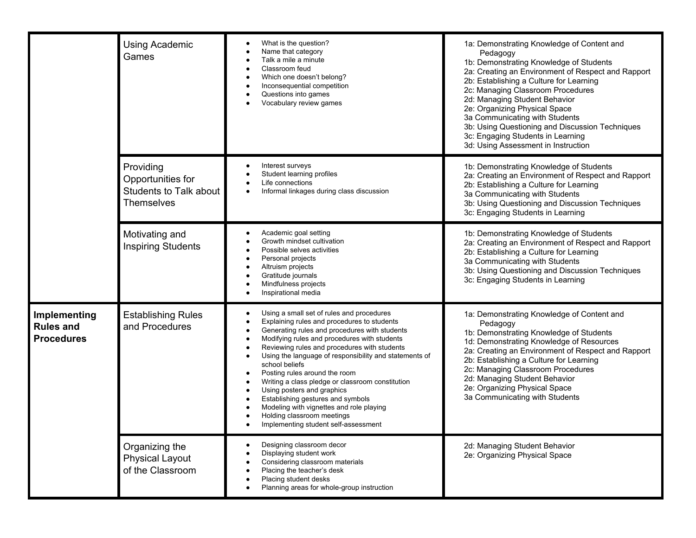|                                                       | <b>Using Academic</b><br>Games                                                       | What is the question?<br>Name that category<br>Talk a mile a minute<br>Classroom feud<br>Which one doesn't belong?<br>٠<br>Inconsequential competition<br>Questions into games<br>Vocabulary review games                                                                                                                                                                                                                                                                                                                                                                                            | 1a: Demonstrating Knowledge of Content and<br>Pedagogy<br>1b: Demonstrating Knowledge of Students<br>2a: Creating an Environment of Respect and Rapport<br>2b: Establishing a Culture for Learning<br>2c: Managing Classroom Procedures<br>2d: Managing Student Behavior<br>2e: Organizing Physical Space<br>3a Communicating with Students<br>3b: Using Questioning and Discussion Techniques<br>3c: Engaging Students in Learning<br>3d: Using Assessment in Instruction |
|-------------------------------------------------------|--------------------------------------------------------------------------------------|------------------------------------------------------------------------------------------------------------------------------------------------------------------------------------------------------------------------------------------------------------------------------------------------------------------------------------------------------------------------------------------------------------------------------------------------------------------------------------------------------------------------------------------------------------------------------------------------------|----------------------------------------------------------------------------------------------------------------------------------------------------------------------------------------------------------------------------------------------------------------------------------------------------------------------------------------------------------------------------------------------------------------------------------------------------------------------------|
|                                                       | Providing<br>Opportunities for<br><b>Students to Talk about</b><br><b>Themselves</b> | Interest surveys<br>Student learning profiles<br>Life connections<br>Informal linkages during class discussion                                                                                                                                                                                                                                                                                                                                                                                                                                                                                       | 1b: Demonstrating Knowledge of Students<br>2a: Creating an Environment of Respect and Rapport<br>2b: Establishing a Culture for Learning<br>3a Communicating with Students<br>3b: Using Questioning and Discussion Techniques<br>3c: Engaging Students in Learning                                                                                                                                                                                                         |
|                                                       | Motivating and<br><b>Inspiring Students</b>                                          | Academic goal setting<br>Growth mindset cultivation<br>Possible selves activities<br>Personal projects<br>Altruism projects<br>Gratitude journals<br>Mindfulness projects<br>Inspirational media                                                                                                                                                                                                                                                                                                                                                                                                     | 1b: Demonstrating Knowledge of Students<br>2a: Creating an Environment of Respect and Rapport<br>2b: Establishing a Culture for Learning<br>3a Communicating with Students<br>3b: Using Questioning and Discussion Techniques<br>3c: Engaging Students in Learning                                                                                                                                                                                                         |
| Implementing<br><b>Rules and</b><br><b>Procedures</b> | <b>Establishing Rules</b><br>and Procedures                                          | Using a small set of rules and procedures<br>Explaining rules and procedures to students<br>Generating rules and procedures with students<br>Modifying rules and procedures with students<br>Reviewing rules and procedures with students<br>Using the language of responsibility and statements of<br>school beliefs<br>Posting rules around the room<br>٠<br>Writing a class pledge or classroom constitution<br>Using posters and graphics<br>Establishing gestures and symbols<br>Modeling with vignettes and role playing<br>Holding classroom meetings<br>Implementing student self-assessment | 1a: Demonstrating Knowledge of Content and<br>Pedagogy<br>1b: Demonstrating Knowledge of Students<br>1d: Demonstrating Knowledge of Resources<br>2a: Creating an Environment of Respect and Rapport<br>2b: Establishing a Culture for Learning<br>2c: Managing Classroom Procedures<br>2d: Managing Student Behavior<br>2e: Organizing Physical Space<br>3a Communicating with Students                                                                                    |
|                                                       | Organizing the<br><b>Physical Layout</b><br>of the Classroom                         | Designing classroom decor<br>Displaying student work<br>Considering classroom materials<br>Placing the teacher's desk<br>Placing student desks<br>Planning areas for whole-group instruction                                                                                                                                                                                                                                                                                                                                                                                                         | 2d: Managing Student Behavior<br>2e: Organizing Physical Space                                                                                                                                                                                                                                                                                                                                                                                                             |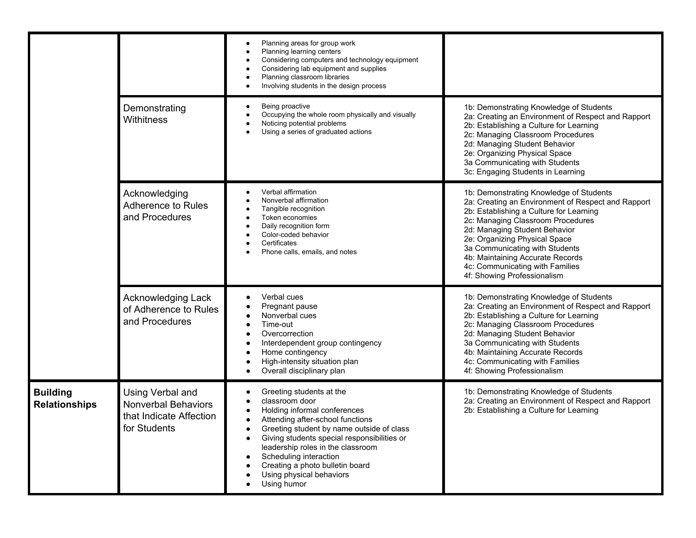|                                         |                                                                                           | Planning areas for group work<br>Planning learning centers<br>Considering computers and technology equipment<br>Considering lab equipment and supplies<br>Planning classroom libraries<br>Involving students in the design process                                                                                                                      |                                                                                                                                                                                                                                                                                                                                                                                         |
|-----------------------------------------|-------------------------------------------------------------------------------------------|---------------------------------------------------------------------------------------------------------------------------------------------------------------------------------------------------------------------------------------------------------------------------------------------------------------------------------------------------------|-----------------------------------------------------------------------------------------------------------------------------------------------------------------------------------------------------------------------------------------------------------------------------------------------------------------------------------------------------------------------------------------|
|                                         | Demonstrating<br>Withitness                                                               | Being proactive<br>Occupying the whole room physically and visually<br>Noticing potential problems<br>Using a series of graduated actions                                                                                                                                                                                                               | 1b: Demonstrating Knowledge of Students<br>2a: Creating an Environment of Respect and Rapport<br>2b: Establishing a Culture for Learning<br>2c: Managing Classroom Procedures<br>2d: Managing Student Behavior<br>2e: Organizing Physical Space<br>3a Communicating with Students<br>3c: Engaging Students in Learning                                                                  |
|                                         | Acknowledging<br>Adherence to Rules<br>and Procedures                                     | Verbal affirmation<br>Nonverbal affirmation<br>Tangible recognition<br>Token economies<br>Daily recognition form<br>Color-coded behavior<br>Certificates<br>Phone calls, emails, and notes                                                                                                                                                              | 1b: Demonstrating Knowledge of Students<br>2a: Creating an Environment of Respect and Rapport<br>2b: Establishing a Culture for Learning<br>2c: Managing Classroom Procedures<br>2d: Managing Student Behavior<br>2e: Organizing Physical Space<br>3a Communicating with Students<br>4b: Maintaining Accurate Records<br>4c: Communicating with Families<br>4f: Showing Professionalism |
|                                         | <b>Acknowledging Lack</b><br>of Adherence to Rules<br>and Procedures                      | Verbal cues<br>Pregnant pause<br>Nonverbal cues<br>Time-out<br>Overcorrection<br>Interdependent group contingency<br>Home contingency<br>High-intensity situation plan<br>Overall disciplinary plan                                                                                                                                                     | 1b: Demonstrating Knowledge of Students<br>2a: Creating an Environment of Respect and Rapport<br>2b: Establishing a Culture for Learning<br>2c: Managing Classroom Procedures<br>2d: Managing Student Behavior<br>3a Communicating with Students<br>4b: Maintaining Accurate Records<br>4c: Communicating with Families<br>4f: Showing Professionalism                                  |
| <b>Building</b><br><b>Relationships</b> | Using Verbal and<br><b>Nonverbal Behaviors</b><br>that Indicate Affection<br>for Students | Greeting students at the<br>classroom door<br>Holding informal conferences<br>Attending after-school functions<br>Greeting student by name outside of class<br>Giving students special responsibilities or<br>leadership roles in the classroom<br>Scheduling interaction<br>Creating a photo bulletin board<br>Using physical behaviors<br>Using humor | 1b: Demonstrating Knowledge of Students<br>2a: Creating an Environment of Respect and Rapport<br>2b: Establishing a Culture for Learning                                                                                                                                                                                                                                                |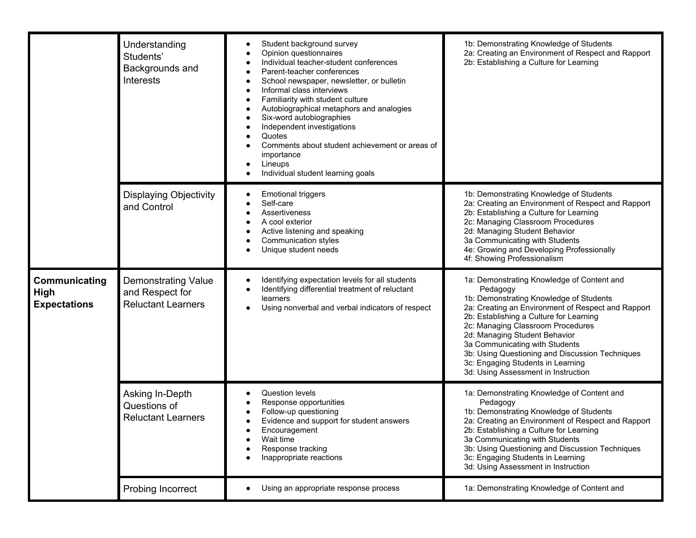|                                              | Understanding<br>Students'<br>Backgrounds and<br>Interests                 | Student background survey<br>Opinion questionnaires<br>Individual teacher-student conferences<br>Parent-teacher conferences<br>School newspaper, newsletter, or bulletin<br>Informal class interviews<br>Familiarity with student culture<br>Autobiographical metaphors and analogies<br>Six-word autobiographies<br>Independent investigations<br>Quotes<br>Comments about student achievement or areas of<br>importance<br>Lineups<br>Individual student learning goals | 1b: Demonstrating Knowledge of Students<br>2a: Creating an Environment of Respect and Rapport<br>2b: Establishing a Culture for Learning                                                                                                                                                                                                                                                                                                  |
|----------------------------------------------|----------------------------------------------------------------------------|---------------------------------------------------------------------------------------------------------------------------------------------------------------------------------------------------------------------------------------------------------------------------------------------------------------------------------------------------------------------------------------------------------------------------------------------------------------------------|-------------------------------------------------------------------------------------------------------------------------------------------------------------------------------------------------------------------------------------------------------------------------------------------------------------------------------------------------------------------------------------------------------------------------------------------|
|                                              | <b>Displaying Objectivity</b><br>and Control                               | <b>Emotional triggers</b><br>Self-care<br>Assertiveness<br>A cool exterior<br>Active listening and speaking<br>Communication styles<br>Unique student needs                                                                                                                                                                                                                                                                                                               | 1b: Demonstrating Knowledge of Students<br>2a: Creating an Environment of Respect and Rapport<br>2b: Establishing a Culture for Learning<br>2c: Managing Classroom Procedures<br>2d: Managing Student Behavior<br>3a Communicating with Students<br>4e: Growing and Developing Professionally<br>4f: Showing Professionalism                                                                                                              |
| Communicating<br>High<br><b>Expectations</b> | <b>Demonstrating Value</b><br>and Respect for<br><b>Reluctant Learners</b> | Identifying expectation levels for all students<br>Identifying differential treatment of reluctant<br>learners<br>Using nonverbal and verbal indicators of respect                                                                                                                                                                                                                                                                                                        | 1a: Demonstrating Knowledge of Content and<br>Pedagogy<br>1b: Demonstrating Knowledge of Students<br>2a: Creating an Environment of Respect and Rapport<br>2b: Establishing a Culture for Learning<br>2c: Managing Classroom Procedures<br>2d: Managing Student Behavior<br>3a Communicating with Students<br>3b: Using Questioning and Discussion Techniques<br>3c: Engaging Students in Learning<br>3d: Using Assessment in Instruction |
|                                              | Asking In-Depth<br>Questions of<br><b>Reluctant Learners</b>               | Question levels<br>Response opportunities<br>Follow-up questioning<br>Evidence and support for student answers<br>$\bullet$<br>Encouragement<br>Wait time<br>Response tracking<br>Inappropriate reactions                                                                                                                                                                                                                                                                 | 1a: Demonstrating Knowledge of Content and<br>Pedagogy<br>1b: Demonstrating Knowledge of Students<br>2a: Creating an Environment of Respect and Rapport<br>2b: Establishing a Culture for Learning<br>3a Communicating with Students<br>3b: Using Questioning and Discussion Techniques<br>3c: Engaging Students in Learning<br>3d: Using Assessment in Instruction                                                                       |
|                                              | Probing Incorrect                                                          | Using an appropriate response process                                                                                                                                                                                                                                                                                                                                                                                                                                     | 1a: Demonstrating Knowledge of Content and                                                                                                                                                                                                                                                                                                                                                                                                |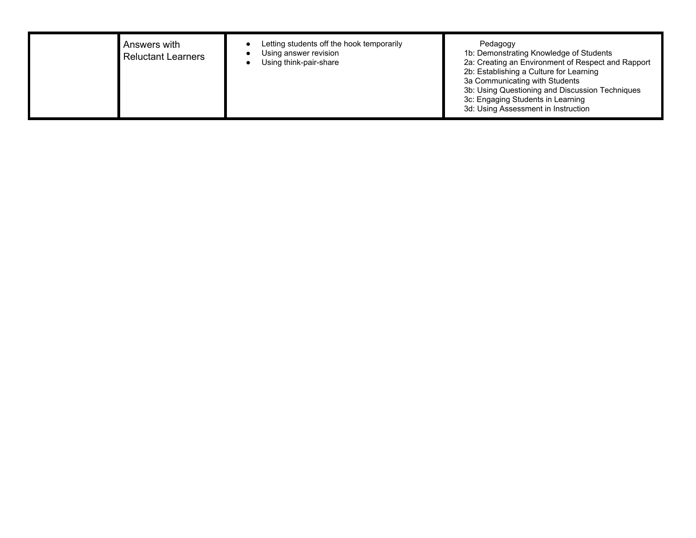| Answers with<br><b>Reluctant Learners</b> | Letting students off the hook temporarily<br>Using answer revision<br>Using think-pair-share | Pedagogy<br>1b: Demonstrating Knowledge of Students<br>2a: Creating an Environment of Respect and Rapport<br>2b: Establishing a Culture for Learning<br>3a Communicating with Students<br>3b: Using Questioning and Discussion Techniques<br>3c: Engaging Students in Learning<br>3d: Using Assessment in Instruction |
|-------------------------------------------|----------------------------------------------------------------------------------------------|-----------------------------------------------------------------------------------------------------------------------------------------------------------------------------------------------------------------------------------------------------------------------------------------------------------------------|
|-------------------------------------------|----------------------------------------------------------------------------------------------|-----------------------------------------------------------------------------------------------------------------------------------------------------------------------------------------------------------------------------------------------------------------------------------------------------------------------|